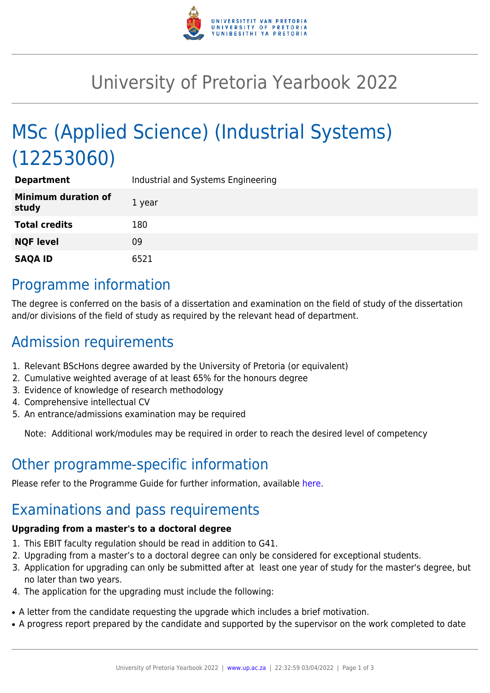

## University of Pretoria Yearbook 2022

# MSc (Applied Science) (Industrial Systems) (12253060)

| <b>Department</b>                   | Industrial and Systems Engineering |
|-------------------------------------|------------------------------------|
| <b>Minimum duration of</b><br>study | 1 year                             |
| <b>Total credits</b>                | 180                                |
| <b>NQF level</b>                    | 09                                 |
| <b>SAQA ID</b>                      | 6521                               |

#### Programme information

The degree is conferred on the basis of a dissertation and examination on the field of study of the dissertation and/or divisions of the field of study as required by the relevant head of department.

## Admission requirements

- 1. Relevant BScHons degree awarded by the University of Pretoria (or equivalent)
- 2. Cumulative weighted average of at least 65% for the honours degree
- 3. Evidence of knowledge of research methodology
- 4. Comprehensive intellectual CV
- 5. An entrance/admissions examination may be required

Note: Additional work/modules may be required in order to reach the desired level of competency

### Other programme-specific information

Please refer to the Programme Guide for further information, available [here.](https://www.up.ac.za/media/shared/101/ZP_Files/Postgraduate%20Programmes/2020/postgraduate-guide_2020_print.zp179840.pdf)

### Examinations and pass requirements

#### **Upgrading from a master's to a doctoral degree**

- 1. This EBIT faculty regulation should be read in addition to G41.
- 2. Upgrading from a master's to a doctoral degree can only be considered for exceptional students.
- 3. Application for upgrading can only be submitted after at least one year of study for the master's degree, but no later than two years.
- 4. The application for the upgrading must include the following:
- A letter from the candidate requesting the upgrade which includes a brief motivation.
- A progress report prepared by the candidate and supported by the supervisor on the work completed to date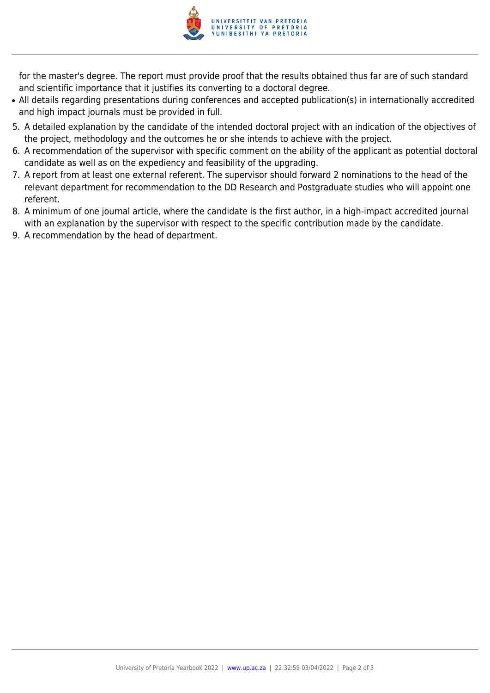

for the master's degree. The report must provide proof that the results obtained thus far are of such standard and scientific importance that it justifies its converting to a doctoral degree.

- All details regarding presentations during conferences and accepted publication(s) in internationally accredited and high impact journals must be provided in full.
- 5. A detailed explanation by the candidate of the intended doctoral project with an indication of the objectives of the project, methodology and the outcomes he or she intends to achieve with the project.
- 6. A recommendation of the supervisor with specific comment on the ability of the applicant as potential doctoral candidate as well as on the expediency and feasibility of the upgrading.
- 7. A report from at least one external referent. The supervisor should forward 2 nominations to the head of the relevant department for recommendation to the DD Research and Postgraduate studies who will appoint one referent.
- 8. A minimum of one journal article, where the candidate is the first author, in a high-impact accredited journal with an explanation by the supervisor with respect to the specific contribution made by the candidate.
- 9. A recommendation by the head of department.